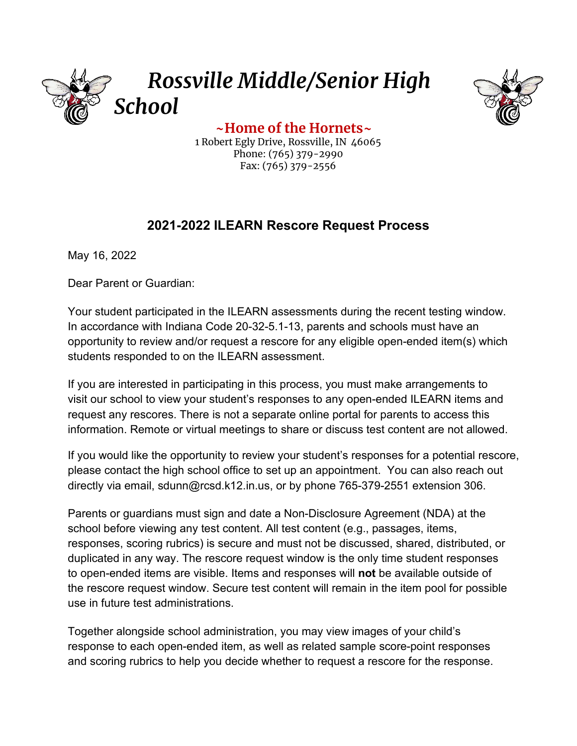



**~Home of the Hornets~** 1 Robert Egly Drive, Rossville, IN 46065 Phone: (765) 379-2990 Fax: (765) 379-2556

## **2021-2022 ILEARN Rescore Request Process**

May 16, 2022

Dear Parent or Guardian:

Your student participated in the ILEARN assessments during the recent testing window. In accordance with Indiana Code 20-32-5.1-13, parents and schools must have an opportunity to review and/or request a rescore for any eligible open-ended item(s) which students responded to on the ILEARN assessment.

If you are interested in participating in this process, you must make arrangements to visit our school to view your student's responses to any open-ended ILEARN items and request any rescores. There is not a separate online portal for parents to access this information. Remote or virtual meetings to share or discuss test content are not allowed.

If you would like the opportunity to review your student's responses for a potential rescore, please contact the high school office to set up an appointment. You can also reach out directly via email, sdunn@rcsd.k12.in.us, or by phone 765-379-2551 extension 306.

Parents or guardians must sign and date a Non-Disclosure Agreement (NDA) at the school before viewing any test content. All test content (e.g., passages, items, responses, scoring rubrics) is secure and must not be discussed, shared, distributed, or duplicated in any way. The rescore request window is the only time student responses to open-ended items are visible. Items and responses will **not** be available outside of the rescore request window. Secure test content will remain in the item pool for possible use in future test administrations.

Together alongside school administration, you may view images of your child's response to each open-ended item, as well as related sample score-point responses and scoring rubrics to help you decide whether to request a rescore for the response.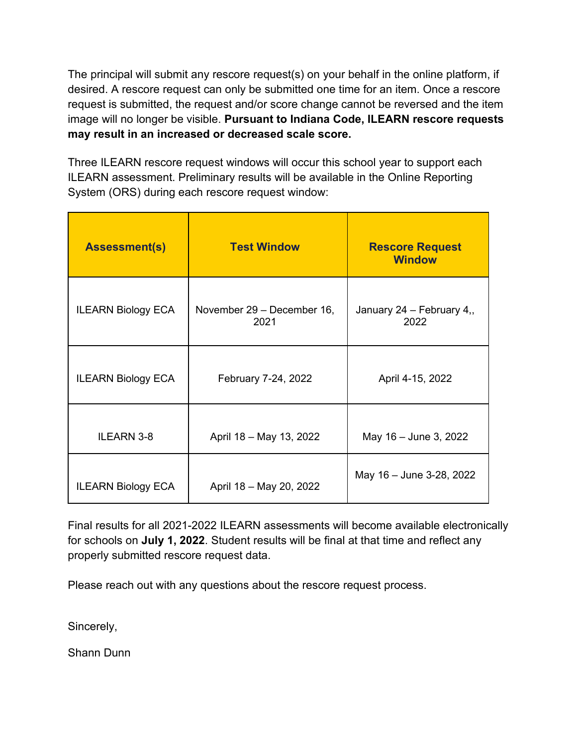The principal will submit any rescore request(s) on your behalf in the online platform, if desired. A rescore request can only be submitted one time for an item. Once a rescore request is submitted, the request and/or score change cannot be reversed and the item image will no longer be visible. **Pursuant to Indiana Code, ILEARN rescore requests may result in an increased or decreased scale score.**

Three ILEARN rescore request windows will occur this school year to support each ILEARN assessment. Preliminary results will be available in the Online Reporting System (ORS) during each rescore request window:

| <b>Assessment(s)</b>      | <b>Test Window</b>                 | <b>Rescore Request</b><br><b>Window</b> |
|---------------------------|------------------------------------|-----------------------------------------|
| <b>ILEARN Biology ECA</b> | November 29 - December 16,<br>2021 | January 24 - February 4,,<br>2022       |
| <b>ILEARN Biology ECA</b> | February 7-24, 2022                | April 4-15, 2022                        |
| <b>ILEARN 3-8</b>         | April 18 - May 13, 2022            | May 16 - June 3, 2022                   |
| <b>ILEARN Biology ECA</b> | April 18 - May 20, 2022            | May 16 - June 3-28, 2022                |

Final results for all 2021-2022 ILEARN assessments will become available electronically for schools on **July 1, 2022**. Student results will be final at that time and reflect any properly submitted rescore request data.

Please reach out with any questions about the rescore request process.

Sincerely,

Shann Dunn